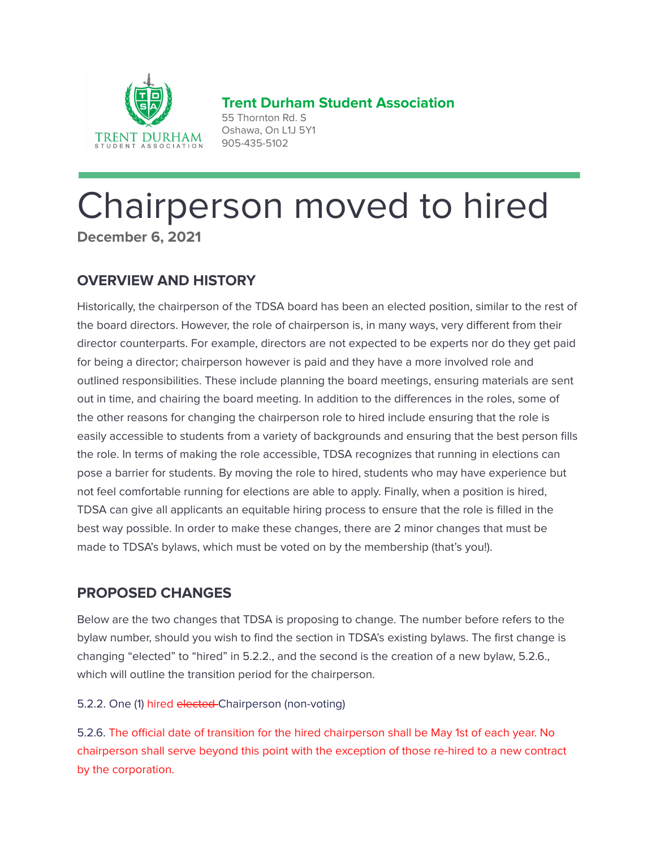

**Trent Durham Student Association** 55 Thornton Rd. S Oshawa, On L1J 5Y1

# Chairperson moved to hired **December 6, 2021**

905-435-5102

# **OVERVIEW AND HISTORY**

Historically, the chairperson of the TDSA board has been an elected position, similar to the rest of the board directors. However, the role of chairperson is, in many ways, very different from their director counterparts. For example, directors are not expected to be experts nor do they get paid for being a director; chairperson however is paid and they have a more involved role and outlined responsibilities. These include planning the board meetings, ensuring materials are sent out in time, and chairing the board meeting. In addition to the differences in the roles, some of the other reasons for changing the chairperson role to hired include ensuring that the role is easily accessible to students from a variety of backgrounds and ensuring that the best person fills the role. In terms of making the role accessible, TDSA recognizes that running in elections can pose a barrier for students. By moving the role to hired, students who may have experience but not feel comfortable running for elections are able to apply. Finally, when a position is hired, TDSA can give all applicants an equitable hiring process to ensure that the role is filled in the best way possible. In order to make these changes, there are 2 minor changes that must be made to TDSA's bylaws, which must be voted on by the membership (that's you!).

## **PROPOSED CHANGES**

Below are the two changes that TDSA is proposing to change. The number before refers to the bylaw number, should you wish to find the section in TDSA's existing bylaws. The first change is changing "elected" to "hired" in 5.2.2., and the second is the creation of a new bylaw, 5.2.6., which will outline the transition period for the chairperson.

## 5.2.2. One (1) hired elected Chairperson (non-voting)

5.2.6. The official date of transition for the hired chairperson shall be May 1st of each year. No chairperson shall serve beyond this point with the exception of those re-hired to a new contract by the corporation.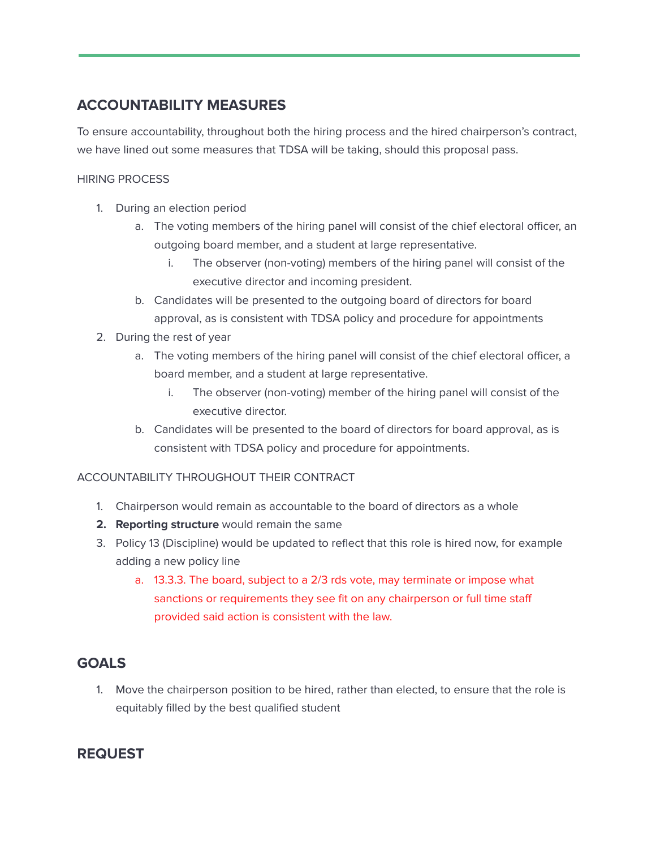## **ACCOUNTABILITY MEASURES**

To ensure accountability, throughout both the hiring process and the hired chairperson's contract, we have lined out some measures that TDSA will be taking, should this proposal pass.

#### HIRING PROCESS

- 1. During an election period
	- a. The voting members of the hiring panel will consist of the chief electoral officer, an outgoing board member, and a student at large representative.
		- i. The observer (non-voting) members of the hiring panel will consist of the executive director and incoming president.
	- b. Candidates will be presented to the outgoing board of directors for board approval, as is consistent with TDSA policy and procedure for appointments
- 2. During the rest of year
	- a. The voting members of the hiring panel will consist of the chief electoral officer, a board member, and a student at large representative.
		- i. The observer (non-voting) member of the hiring panel will consist of the executive director.
	- b. Candidates will be presented to the board of directors for board approval, as is consistent with TDSA policy and procedure for appointments.

## ACCOUNTABILITY THROUGHOUT THEIR CONTRACT

- 1. Chairperson would remain as accountable to the board of directors as a whole
- **2. Reporting structure** would remain the same
- 3. Policy 13 (Discipline) would be updated to reflect that this role is hired now, for example adding a new policy line
	- a. 13.3.3. The board, subject to a 2/3 rds vote, may terminate or impose what sanctions or requirements they see fit on any chairperson or full time staff provided said action is consistent with the law.

## **GOALS**

1. Move the chairperson position to be hired, rather than elected, to ensure that the role is equitably filled by the best qualified student

## **REQUEST**